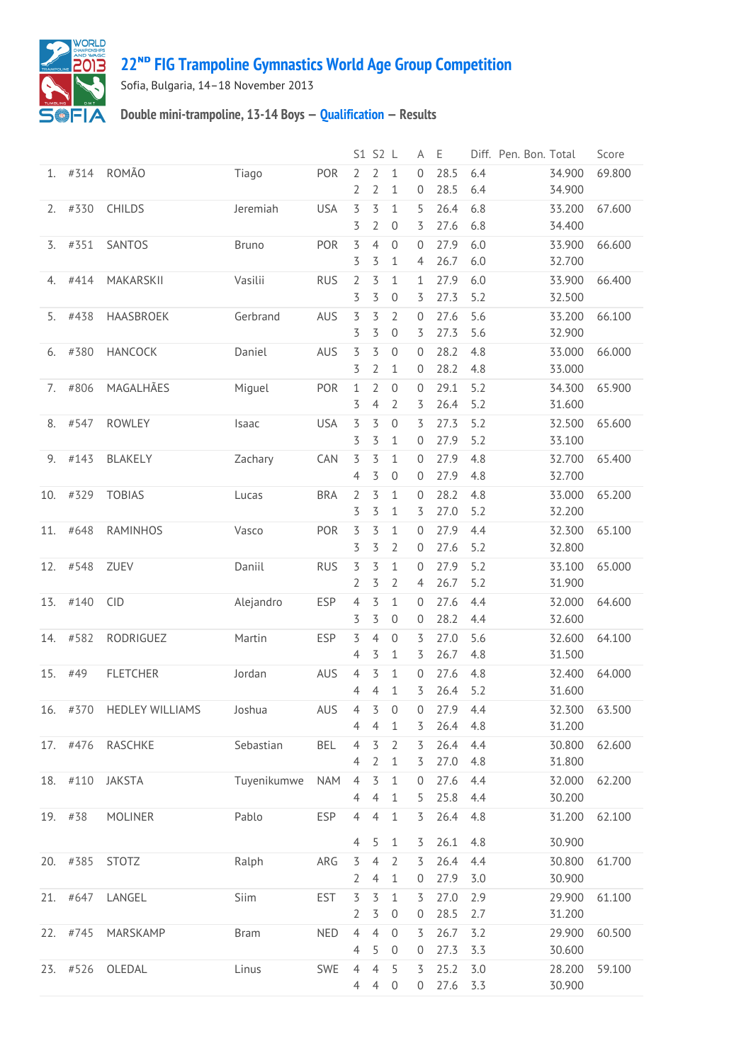

## **22ᴺᴰ [FIG Trampoline Gymnastics World Age Group Competition](http://192.168.1.7:9001/event)**

Sofia, Bulgaria, 14–18 November 2013

## **Double mini-trampoline, 13-14 Boys — [Qualification](http://192.168.1.7:9001/stage/4) — Results**

|     |          |                        |              |            |                     | S1 S2 L        |                     | Α                 | Ε            | Diff. Pen. Bon. Total |                  | Score  |
|-----|----------|------------------------|--------------|------------|---------------------|----------------|---------------------|-------------------|--------------|-----------------------|------------------|--------|
| 1.  | #314     | <b>ROMÃO</b>           | Tiago        | POR        | $\overline{2}$      | $\overline{2}$ | $\mathbf{1}$        | $\mathbf{0}$      | 28.5         | 6.4                   | 34.900           | 69.800 |
|     |          |                        |              |            | 2                   | $\overline{2}$ | 1                   | $\mathbf 0$       | 28.5         | 6.4                   | 34.900           |        |
| 2.  | #330     | CHILDS                 | Jeremiah     | <b>USA</b> | 3                   | 3              | 1                   | 5                 | 26.4         | 6.8                   | 33.200           | 67.600 |
|     |          |                        |              |            | 3                   | $\overline{2}$ | 0                   | 3                 | 27.6         | 6.8                   | 34.400           |        |
| 3.  | #351     | SANTOS                 | <b>Bruno</b> | POR        | 3                   | $\overline{4}$ | $\mathbf 0$         | 0                 | 27.9         | 6.0                   | 33.900           | 66.600 |
|     |          |                        |              |            | 3                   | 3              | 1                   | 4                 | 26.7         | 6.0                   | 32.700           |        |
| 4.  | #414     | MAKARSKII              | Vasilii      | <b>RUS</b> | $\overline{2}$      | 3              | 1                   | 1                 | 27.9         | 6.0                   | 33.900           | 66.400 |
|     |          |                        |              |            | 3                   | 3              | 0                   | 3                 | 27.3         | 5.2                   | 32.500           |        |
| 5.  | #438     | HAASBROEK              | Gerbrand     | AUS        | 3                   | 3              | $\overline{2}$      | 0                 | 27.6         | 5.6                   | 33.200           | 66.100 |
|     |          |                        |              |            | 3                   | 3              | $\boldsymbol{0}$    | 3                 | 27.3         | 5.6                   | 32.900           |        |
| 6.  | #380     | <b>HANCOCK</b>         | Daniel       | AUS        | 3                   | 3              | $\mathbf 0$         | $\mathbf{0}$      | 28.2         | 4.8                   | 33.000           | 66.000 |
|     |          |                        |              |            | 3                   | 2              | 1                   | 0                 | 28.2         | 4.8                   | 33.000           |        |
| 7.  | #806     | MAGALHÃES              | Miguel       | POR        | 1                   | 2              | 0                   | 0                 | 29.1         | 5.2                   | 34.300           | 65.900 |
|     |          |                        |              |            | 3                   | 4              | 2                   | 3                 | 26.4         | 5.2                   | 31.600           |        |
| 8.  | #547     | <b>ROWLEY</b>          | Isaac        | <b>USA</b> | 3                   | 3              | $\boldsymbol{0}$    | 3                 | 27.3         | 5.2                   | 32.500           | 65.600 |
|     |          |                        |              |            | 3                   | 3              | 1                   | 0                 | 27.9         | 5.2                   | 33.100           |        |
| 9.  | #143     | BLAKELY                | Zachary      | CAN        | 3<br>4              | 3<br>3         | 1<br>0              | $\mathbf{0}$<br>0 | 27.9<br>27.9 | 4.8<br>4.8            | 32.700<br>32.700 | 65.400 |
|     |          |                        |              |            |                     |                |                     |                   |              |                       |                  |        |
| 10. | #329     | <b>TOBIAS</b>          | Lucas        | <b>BRA</b> | $\overline{2}$<br>3 | 3<br>3         | $\mathbf{1}$<br>1   | 0<br>3            | 28.2<br>27.0 | 4.8<br>5.2            | 33.000<br>32.200 | 65.200 |
|     | #648     | <b>RAMINHOS</b>        |              | POR        |                     |                |                     | $\mathbf{0}$      | 27.9         |                       |                  |        |
| 11. |          |                        | Vasco        |            | 3<br>3              | 3<br>3         | 1<br>$\overline{2}$ | 0                 | 27.6         | 4.4<br>5.2            | 32.300<br>32.800 | 65.100 |
| 12. | #548     | ZUEV                   | Daniil       | <b>RUS</b> | 3                   | 3              | $\mathbf{1}$        | $\mathbf{0}$      | 27.9         | 5.2                   | 33.100           | 65.000 |
|     |          |                        |              |            | 2                   | 3              | $\overline{2}$      | 4                 | 26.7         | 5.2                   | 31.900           |        |
| 13. | #140     | <b>CID</b>             | Alejandro    | <b>ESP</b> | 4                   | 3              | 1                   | 0                 | 27.6         | 4.4                   | 32.000           | 64.600 |
|     |          |                        |              |            | 3                   | 3              | 0                   | 0                 | 28.2         | 4.4                   | 32.600           |        |
| 14. | #582     | RODRIGUEZ              | Martin       | <b>ESP</b> | 3                   | 4              | $\boldsymbol{0}$    | 3                 | 27.0         | 5.6                   | 32.600           | 64.100 |
|     |          |                        |              |            | 4                   | 3              | 1                   | 3                 | 26.7         | 4.8                   | 31.500           |        |
| 15. | #49      | <b>FLETCHER</b>        | Jordan       | AUS        | 4                   | 3              | $\mathbf{1}$        | 0                 | 27.6         | 4.8                   | 32.400           | 64.000 |
|     |          |                        |              |            | 4                   | 4              | 1                   | 3                 | 26.4         | 5.2                   | 31.600           |        |
| 16. | #370     | <b>HEDLEY WILLIAMS</b> | Joshua       | AUS        | 4                   | 3              | 0                   | 0                 | 27.9         | 4.4                   | 32.300           | 63.500 |
|     |          |                        |              |            | 4                   | 4              | 1                   | 3                 | 26.4         | 4.8                   | 31.200           |        |
|     |          | 17. #476 RASCHKE       | Sebastian    | <b>BEL</b> | $\overline{4}$      | 3              | $\overline{2}$      | 3                 | 26.4         | 4.4                   | 30.800           | 62.600 |
|     |          |                        |              |            | $\overline{4}$      | $\overline{2}$ | 1                   | 3                 | 27.0         | 4.8                   | 31.800           |        |
|     | 18. #110 | <b>JAKSTA</b>          | Tuyenikumwe  | <b>NAM</b> | $\overline{4}$      | $\overline{3}$ | $\mathbf{1}$        | $\Omega$          | 27.6         | 4.4                   | 32.000           | 62.200 |
|     |          |                        |              |            | $\overline{4}$      | $\overline{4}$ | $1\,$               | 5                 | 25.8         | 4.4                   | 30.200           |        |
|     | 19. #38  | <b>MOLINER</b>         | Pablo        | <b>ESP</b> | $\overline{4}$      | $\overline{4}$ | $1\,$               | 3                 | 26.4         | 4.8                   | 31.200           | 62.100 |
|     |          |                        |              |            |                     |                |                     |                   |              |                       |                  |        |
|     |          |                        |              |            | $\overline{4}$      | 5              | $\mathbf{1}$        | 3                 | 26.1         | 4.8                   | 30.900           |        |
|     | 20. #385 | <b>STOTZ</b>           | Ralph        | ARG        | $\overline{5}$      | $\overline{4}$ | $\overline{2}$      | 3                 | 26.4         | 4.4                   | 30.800           | 61.700 |
|     |          |                        |              |            | $\overline{2}$      | 4              | $\mathbf{1}$        | 0                 | 27.9         | 3.0                   | 30.900           |        |
|     | 21. #647 | LANGEL                 | Siim         | EST        | 3                   | 3              | $\mathbf{1}$        | 3                 | 27.0         | 2.9                   | 29.900           | 61.100 |
|     |          |                        |              |            | $\overline{2}$      | $\overline{5}$ | $\boldsymbol{0}$    | $\mathbf 0$       | 28.5         | 2.7                   | 31.200           |        |
|     | 22. #745 | MARSKAMP               | <b>Bram</b>  | <b>NED</b> | $\overline{4}$      | $\overline{4}$ | $\boldsymbol{0}$    | 3                 | 26.7         | 3.2                   | 29.900           | 60.500 |
|     |          |                        |              |            | 4                   | 5              | $\boldsymbol{0}$    | 0                 | 27.3         | 3.3                   | 30.600           |        |
|     | 23. #526 | OLEDAL                 | Linus        | SWE        | $\overline{4}$      | $\overline{4}$ | 5                   | 3                 | 25.2         | 3.0                   | 28.200           | 59.100 |
|     |          |                        |              |            | 4                   | 4              | $\boldsymbol{0}$    | 0                 | 27.6         | 3.3                   | 30.900           |        |